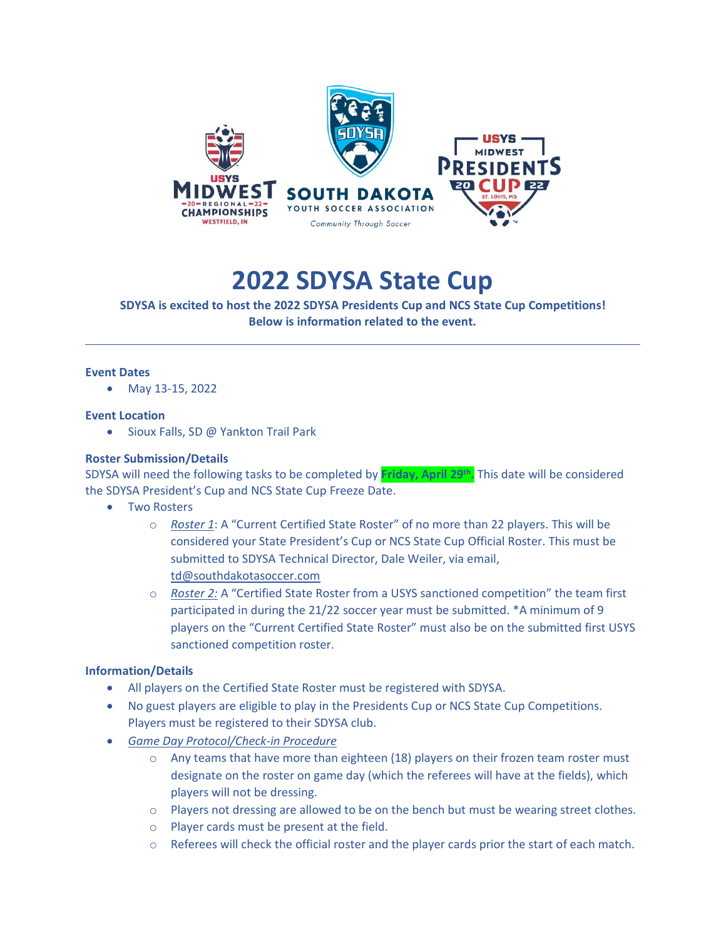

# **2022 SDYSA State Cup**

**SDYSA is excited to host the 2022 SDYSA Presidents Cup and NCS State Cup Competitions! Below is information related to the event.**

#### **Event Dates**

• May 13-15, 2022

#### **Event Location**

• Sioux Falls, SD @ Yankton Trail Park

#### **Roster Submission/Details**

SDYSA will need the following tasks to be completed by **Friday, April 29 th .** This date will be considered the SDYSA President's Cup and NCS State Cup Freeze Date.

- Two Rosters
	- o *Roster 1*: A "Current Certified State Roster" of no more than 22 players. This will be considered your State President's Cup or NCS State Cup Official Roster. This must be submitted to SDYSA Technical Director, Dale Weiler, via email, [td@southdakotasoccer.com](mailto:td@southdakotasoccer.com)
	- o *Roster 2:* A "Certified State Roster from a USYS sanctioned competition" the team first participated in during the 21/22 soccer year must be submitted. \*A minimum of 9 players on the "Current Certified State Roster" must also be on the submitted first USYS sanctioned competition roster.

#### **Information/Details**

- All players on the Certified State Roster must be registered with SDYSA.
- No guest players are eligible to play in the Presidents Cup or NCS State Cup Competitions. Players must be registered to their SDYSA club.
- *Game Day Protocol/Check-in Procedure*
	- $\circ$  Any teams that have more than eighteen (18) players on their frozen team roster must designate on the roster on game day (which the referees will have at the fields), which players will not be dressing.
	- $\circ$  Players not dressing are allowed to be on the bench but must be wearing street clothes.
	- o Player cards must be present at the field.
	- $\circ$  Referees will check the official roster and the player cards prior the start of each match.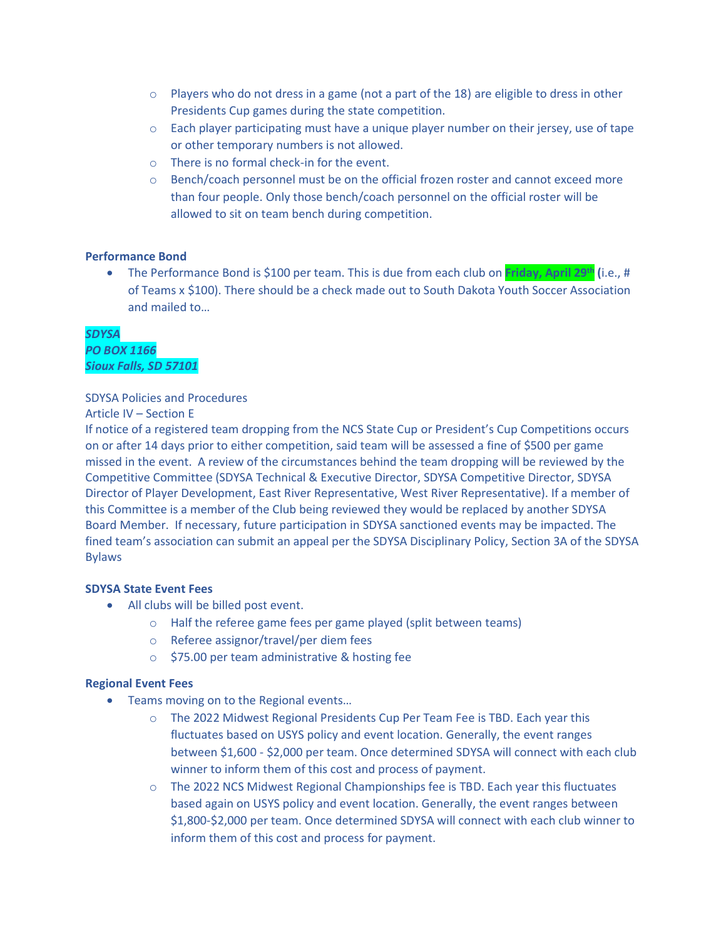- $\circ$  Players who do not dress in a game (not a part of the 18) are eligible to dress in other Presidents Cup games during the state competition.
- $\circ$  Each player participating must have a unique player number on their jersey, use of tape or other temporary numbers is not allowed.
- o There is no formal check-in for the event.
- o Bench/coach personnel must be on the official frozen roster and cannot exceed more than four people. Only those bench/coach personnel on the official roster will be allowed to sit on team bench during competition.

#### **Performance Bond**

• The Performance Bond is \$100 per team. This is due from each club on **Friday, April 29 th (**i.e., # of Teams x \$100). There should be a check made out to South Dakota Youth Soccer Association and mailed to…

*SDYSA PO BOX 1166 Sioux Falls, SD 57101*

#### SDYSA Policies and Procedures

#### Article IV – Section E

If notice of a registered team dropping from the NCS State Cup or President's Cup Competitions occurs on or after 14 days prior to either competition, said team will be assessed a fine of \$500 per game missed in the event. A review of the circumstances behind the team dropping will be reviewed by the Competitive Committee (SDYSA Technical & Executive Director, SDYSA Competitive Director, SDYSA Director of Player Development, East River Representative, West River Representative). If a member of this Committee is a member of the Club being reviewed they would be replaced by another SDYSA Board Member. If necessary, future participation in SDYSA sanctioned events may be impacted. The fined team's association can submit an appeal per the SDYSA Disciplinary Policy, Section 3A of the SDYSA Bylaws

### **SDYSA State Event Fees**

- All clubs will be billed post event.
	- o Half the referee game fees per game played (split between teams)
	- o Referee assignor/travel/per diem fees
	- o \$75.00 per team administrative & hosting fee

#### **Regional Event Fees**

- Teams moving on to the Regional events…
	- o The 2022 Midwest Regional Presidents Cup Per Team Fee is TBD. Each year this fluctuates based on USYS policy and event location. Generally, the event ranges between \$1,600 - \$2,000 per team. Once determined SDYSA will connect with each club winner to inform them of this cost and process of payment.
	- o The 2022 NCS Midwest Regional Championships fee is TBD. Each year this fluctuates based again on USYS policy and event location. Generally, the event ranges between \$1,800-\$2,000 per team. Once determined SDYSA will connect with each club winner to inform them of this cost and process for payment.